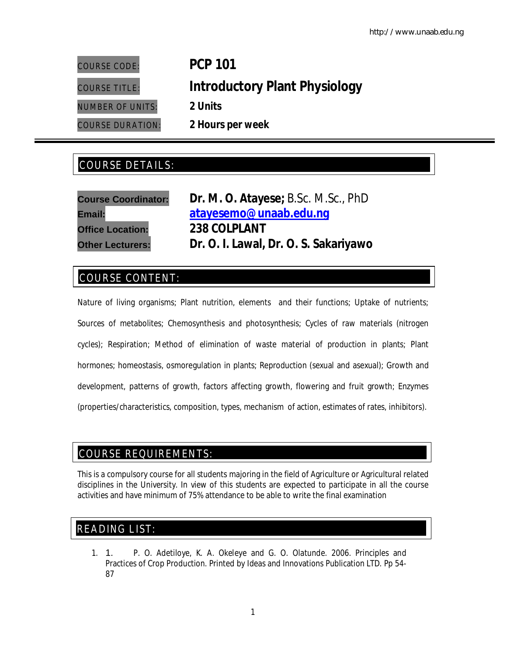# COURSE CODE: **PCP 101** COURSE TITLE: **Introductory Plant Physiology** NUMBER OF UNITS: **2 Units** COURSE DURATION: **2 Hours per week**

## COURSE DETAILS: COURSE DETAILS:

| <b>Course Coordinator:</b> | Dr. M. O. Atayese; B.Sc. M.Sc., PhD   |  |
|----------------------------|---------------------------------------|--|
| <b>Email:</b>              | atayesemo@unaab.edu.nq                |  |
| <b>Office Location:</b>    | 238 COLPLANT                          |  |
| <b>Other Lecturers:</b>    | Dr. O. I. Lawal, Dr. O. S. Sakariyawo |  |

### COURSE CONTENT:

Nature of living organisms; Plant nutrition, elements and their functions; Uptake of nutrients; Sources of metabolites; Chemosynthesis and photosynthesis; Cycles of raw materials (nitrogen cycles); Respiration; Method of elimination of waste material of production in plants; Plant hormones; homeostasis, osmoregulation in plants; Reproduction (sexual and asexual); Growth and development, patterns of growth, factors affecting growth, flowering and fruit growth; Enzymes (properties/characteristics, composition, types, mechanism of action, estimates of rates, inhibitors).

### COURSE REQUIREMENTS:

This is a compulsory course for all students majoring in the field of Agriculture or Agricultural related disciplines in the University. In view of this students are expected to participate in all the course activities and have minimum of 75% attendance to be able to write the final examination

### READING LIST:

1. 1. P. O. Adetiloye, K. A. Okeleye and G. O. Olatunde. 2006. Principles and Practices of Crop Production. Printed by Ideas and Innovations Publication LTD. Pp 54- 87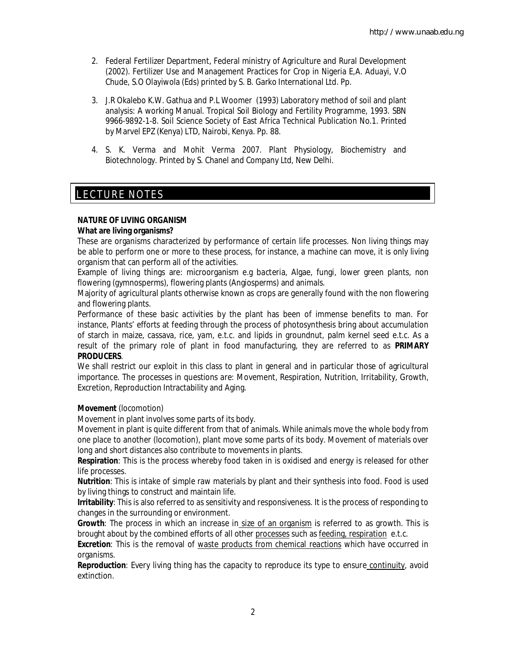- 2. Federal Fertilizer Department, Federal ministry of Agriculture and Rural Development (2002). Fertilizer Use and Management Practices for Crop in Nigeria E,A. Aduayi, V.O Chude, S.O Olayiwola (Eds) printed by S. B. Garko International Ltd. Pp.
- 3. J.R Okalebo K.W. Gathua and P.L Woomer (1993) Laboratory method of soil and plant analysis: A working Manual. Tropical Soil Biology and Fertility Programme, 1993. SBN 9966-9892-1-8. Soil Science Society of East Africa Technical Publication No.1. Printed by Marvel EPZ (Kenya) LTD, Nairobi, Kenya. Pp. 88.
- 4. S. K. Verma and Mohit Verma 2007. Plant Physiology, Biochemistry and Biotechnology. Printed by S. Chanel and Company Ltd, New Delhi.

#### E LECTURE NOTES

#### **NATURE OF LIVING ORGANISM**

#### **What are living organisms?**

These are organisms characterized by performance of certain life processes. Non living things may be able to perform one or more to these process, for instance, a machine can move, it is only living organism that can perform all of the activities.

Example of living things are: microorganism e.g bacteria, Algae, fungi, lower green plants, non flowering (gymnosperms), flowering plants (Angiosperms) and animals.

Majority of agricultural plants otherwise known as crops are generally found with the non flowering and flowering plants.

Performance of these basic activities by the plant has been of immense benefits to man. For instance, Plants' efforts at feeding through the process of photosynthesis bring about accumulation of starch in maize, cassava, rice, yam, e.t.c. and lipids in groundnut, palm kernel seed e.t.c. As a result of the primary role of plant in food manufacturing, they are referred to as **PRIMARY PRODUCERS**.

We shall restrict our exploit in this class to plant in general and in particular those of agricultural importance. The processes in questions are: Movement, Respiration, Nutrition, Irritability, Growth, Excretion, Reproduction Intractability and Aging.

#### **Movement** (locomotion)

Movement in plant involves some parts of its body.

Movement in plant is quite different from that of animals. While animals move the whole body from one place to another (locomotion), plant move some parts of its body. Movement of materials over long and short distances also contribute to movements in plants.

**Respiration**: This is the process whereby food taken in is oxidised and energy is released for other life processes.

**Nutrition**: This is intake of simple raw materials by plant and their synthesis into food. Food is used by living things to construct and maintain life.

**Irritability**: This is also referred to as sensitivity and responsiveness. It is the process of responding to changes in the surrounding or environment.

**Growth**: The process in which an increase in size of an organism is referred to as growth. This is brought about by the combined efforts of all other processes such as feeding, respiration e.t.c.

**Excretion**: This is the removal of waste products from chemical reactions which have occurred in organisms.

**Reproduction**: Every living thing has the capacity to reproduce its type to ensure continuity, avoid extinction.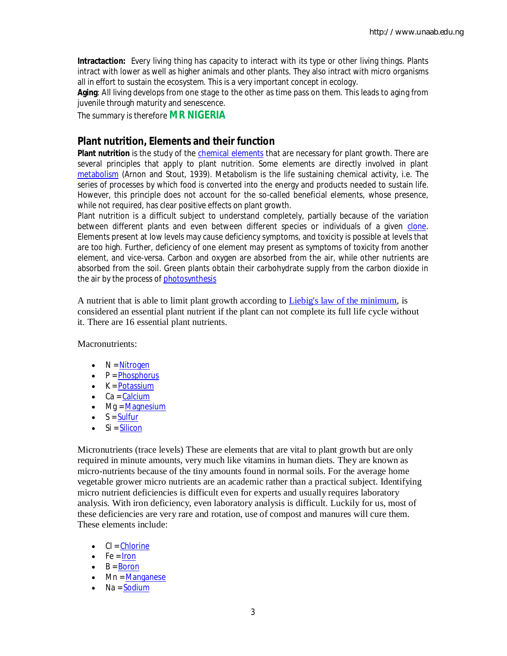**Intractaction:** Every living thing has capacity to interact with its type or other living things. Plants intract with lower as well as higher animals and other plants. They also intract with micro organisms all in effort to sustain the ecosystem. This is a very important concept in ecology.

**Aging**: All living develops from one stage to the other as time pass on them. This leads to aging from juvenile through maturity and senescence.

The summary is therefore **MR NIGERIA**

### **Plant nutrition, Elements and their function**

Plant nutrition is the study of the **chemical elements** that are necessary for plant growth. There are several principles that apply to plant nutrition. Some elements are directly involved in plant metabolism (Arnon and Stout, 1939). Metabolism is the life sustaining chemical activity, i.e. The series of processes by which food is converted into the energy and products needed to sustain life. However, this principle does not account for the so-called beneficial elements, whose presence, while not required, has clear positive effects on plant growth.

Plant nutrition is a difficult subject to understand completely, partially because of the variation between different plants and even between different species or individuals of a given clone. Elements present at low levels may cause deficiency symptoms, and toxicity is possible at levels that are too high. Further, deficiency of one element may present as symptoms of toxicity from another element, and vice-versa. Carbon and oxygen are absorbed from the air, while other nutrients are absorbed from the soil. Green plants obtain their carbohydrate supply from the carbon dioxide in the air by the process of photosynthesis

A nutrient that is able to limit plant growth according to Liebig's law of the minimum, is considered an essential plant nutrient if the plant can not complete its full life cycle without it. There are 16 essential plant nutrients.

Macronutrients<sup>.</sup>

- $\bullet$  N = Nitrogen
- $\bullet$   $P = Phosphorus$
- $\bullet$   $K =$  Potassium
- $\bullet$  Ca = Calcium
- $\bullet$  Mg = Magnesium
- $\bullet$   $S =$  Sulfur
- $\bullet$  Si = Silicon

Micronutrients (trace levels) These are elements that are vital to plant growth but are only required in minute amounts, very much like vitamins in human diets. They are known as micro-nutrients because of the tiny amounts found in normal soils. For the average home vegetable grower micro nutrients are an academic rather than a practical subject. Identifying micro nutrient deficiencies is difficult even for experts and usually requires laboratory analysis. With iron deficiency, even laboratory analysis is difficult. Luckily for us, most of these deficiencies are very rare and rotation, use of compost and manures will cure them. These elements include:

- $\bullet$  Cl = Chlorine
- $\bullet$  Fe = Iron
- $\bullet$  B = Boron
- Mn = Manganese
- $\bullet$  Na = Sodium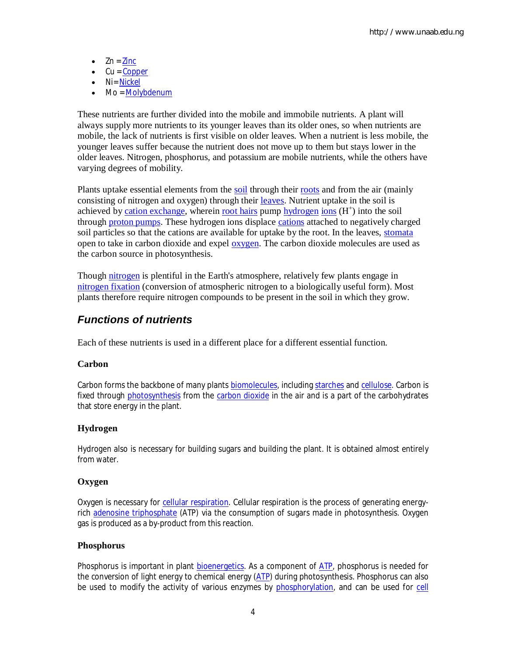- $\bullet$  Zn = Zinc
- $\bullet$  Cu = Copper
- Ni= Nickel
- Mo = Molybdenum

These nutrients are further divided into the mobile and immobile nutrients. A plant will always supply more nutrients to its younger leaves than its older ones, so when nutrients are mobile, the lack of nutrients is first visible on older leaves. When a nutrient is less mobile, the younger leaves suffer because the nutrient does not move up to them but stays lower in the older leaves. Nitrogen, phosphorus, and potassium are mobile nutrients, while the others have varying degrees of mobility.

Plants uptake essential elements from the soil through their roots and from the air (mainly consisting of nitrogen and oxygen) through their leaves. Nutrient uptake in the soil is achieved by cation exchange, wherein root hairs pump hydrogen ions (H<sup>+</sup>) into the soil through proton pumps. These hydrogen ions displace cations attached to negatively charged soil particles so that the cations are available for uptake by the root. In the leaves, stomata open to take in carbon dioxide and expel oxygen. The carbon dioxide molecules are used as the carbon source in photosynthesis.

Though nitrogen is plentiful in the Earth's atmosphere, relatively few plants engage in nitrogen fixation (conversion of atmospheric nitrogen to a biologically useful form). Most plants therefore require nitrogen compounds to be present in the soil in which they grow.

### *Functions of nutrients*

Each of these nutrients is used in a different place for a different essential function.

#### **Carbon**

Carbon forms the backbone of many plants biomolecules, including starches and cellulose. Carbon is fixed through photosynthesis from the carbon dioxide in the air and is a part of the carbohydrates that store energy in the plant.

#### **Hydrogen**

Hydrogen also is necessary for building sugars and building the plant. It is obtained almost entirely from water.

#### **Oxygen**

Oxygen is necessary for cellular respiration. Cellular respiration is the process of generating energyrich adenosine triphosphate (ATP) via the consumption of sugars made in photosynthesis. Oxygen gas is produced as a by-product from this reaction.

#### **Phosphorus**

Phosphorus is important in plant bioenergetics. As a component of ATP, phosphorus is needed for the conversion of light energy to chemical energy (ATP) during photosynthesis. Phosphorus can also be used to modify the activity of various enzymes by phosphorylation, and can be used for cell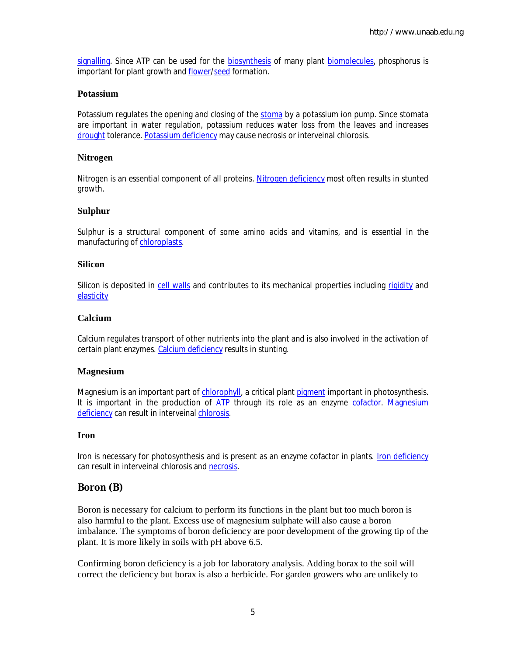signalling. Since ATP can be used for the biosynthesis of many plant biomolecules, phosphorus is important for plant growth and flower/seed formation.

#### **Potassium**

Potassium regulates the opening and closing of the stoma by a potassium ion pump. Since stomata are important in water regulation, potassium reduces water loss from the leaves and increases drought tolerance. Potassium deficiency may cause necrosis or interveinal chlorosis.

#### **Nitrogen**

Nitrogen is an essential component of all proteins. Nitrogen deficiency most often results in stunted growth.

#### **Sulphur**

Sulphur is a structural component of some amino acids and vitamins, and is essential in the manufacturing of chloroplasts.

#### **Silicon**

Silicon is deposited in cell walls and contributes to its mechanical properties including rigidity and **elasticity** 

#### **Calcium**

Calcium regulates transport of other nutrients into the plant and is also involved in the activation of certain plant enzymes. Calcium deficiency results in stunting.

#### **Magnesium**

Magnesium is an important part of chlorophyll, a critical plant pigment important in photosynthesis. It is important in the production of ATP through its role as an enzyme cofactor. Magnesium deficiency can result in interveinal chlorosis.

#### **Iron**

Iron is necessary for photosynthesis and is present as an enzyme cofactor in plants. Iron deficiency can result in interveinal chlorosis and necrosis.

### **Boron (B)**

Boron is necessary for calcium to perform its functions in the plant but too much boron is also harmful to the plant. Excess use of magnesium sulphate will also cause a boron imbalance. The symptoms of boron deficiency are poor development of the growing tip of the plant. It is more likely in soils with pH above 6.5.

Confirming boron deficiency is a job for laboratory analysis. Adding borax to the soil will correct the deficiency but borax is also a herbicide. For garden growers who are unlikely to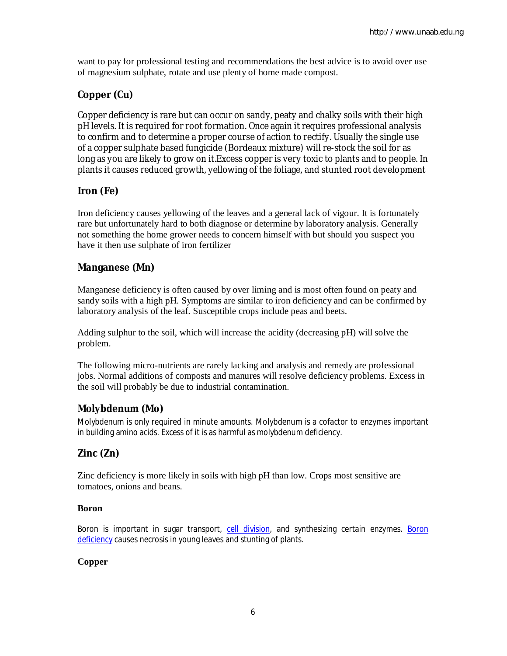want to pay for professional testing and recommendations the best advice is to avoid over use of magnesium sulphate, rotate and use plenty of home made compost.

### **Copper (Cu)**

Copper deficiency is rare but can occur on sandy, peaty and chalky soils with their high pH levels. It is required for root formation. Once again it requires professional analysis to confirm and to determine a proper course of action to rectify. Usually the single use of a copper sulphate based fungicide (Bordeaux mixture) will re-stock the soil for as long as you are likely to grow on it.Excess copper is very toxic to plants and to people. In plants it causes reduced growth, yellowing of the foliage, and stunted root development

### **Iron (Fe)**

Iron deficiency causes yellowing of the leaves and a general lack of vigour. It is fortunately rare but unfortunately hard to both diagnose or determine by laboratory analysis. Generally not something the home grower needs to concern himself with but should you suspect you have it then use sulphate of iron fertilizer

### **Manganese (Mn)**

Manganese deficiency is often caused by over liming and is most often found on peaty and sandy soils with a high pH. Symptoms are similar to iron deficiency and can be confirmed by laboratory analysis of the leaf. Susceptible crops include peas and beets.

Adding sulphur to the soil, which will increase the acidity (decreasing pH) will solve the problem.

The following micro-nutrients are rarely lacking and analysis and remedy are professional jobs. Normal additions of composts and manures will resolve deficiency problems. Excess in the soil will probably be due to industrial contamination.

### **Molybdenum (Mo)**

Molybdenum is only required in minute amounts. Molybdenum is a cofactor to enzymes important in building amino acids. Excess of it is as harmful as molybdenum deficiency.

### **Zinc (Zn)**

Zinc deficiency is more likely in soils with high pH than low. Crops most sensitive are tomatoes, onions and beans.

### **Boron**

Boron is important in sugar transport, cell division, and synthesizing certain enzymes. Boron deficiency causes necrosis in young leaves and stunting of plants.

### **Copper**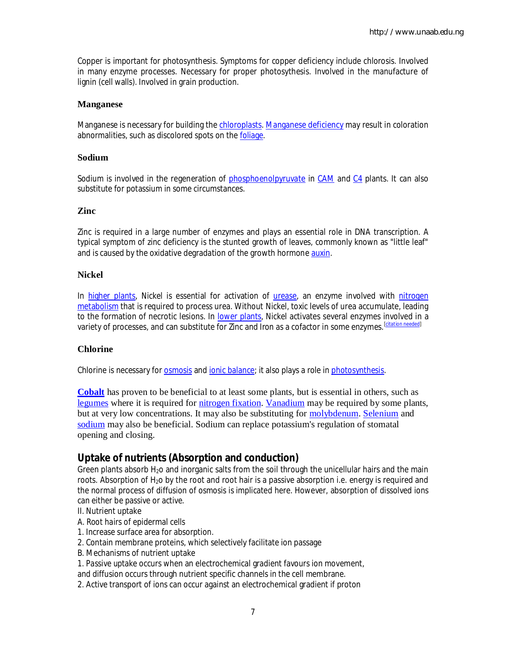Copper is important for photosynthesis. Symptoms for copper deficiency include chlorosis. Involved in many enzyme processes. Necessary for proper photosythesis. Involved in the manufacture of lignin (cell walls). Involved in grain production.

#### **Manganese**

Manganese is necessary for building the chloroplasts. Manganese deficiency may result in coloration abnormalities, such as discolored spots on the foliage.

#### **Sodium**

Sodium is involved in the regeneration of phosphoenolpyruvate in CAM and C4 plants. It can also substitute for potassium in some circumstances.

#### **Zinc**

Zinc is required in a large number of enzymes and plays an essential role in DNA transcription. A typical symptom of zinc deficiency is the stunted growth of leaves, commonly known as "little leaf" and is caused by the oxidative degradation of the growth hormone auxin.

#### **Nickel**

In higher plants, Nickel is essential for activation of *urease*, an enzyme involved with nitrogen metabolism that is required to process urea. Without Nickel, toxic levels of urea accumulate, leading to the formation of necrotic lesions. In lower plants, Nickel activates several enzymes involved in a variety of processes, and can substitute for Zinc and Iron as a cofactor in some enzymes.[*citation needed*]

#### **Chlorine**

Chlorine is necessary for **osmosis** and *ionic balance;* it also plays a role in *photosynthesis*.

**Cobalt** has proven to be beneficial to at least some plants, but is essential in others, such as legumes where it is required for nitrogen fixation. Vanadium may be required by some plants, but at very low concentrations. It may also be substituting for molybdenum. Selenium and sodium may also be beneficial. Sodium can replace potassium's regulation of stomatal opening and closing.

### **Uptake of nutrients (Absorption and conduction)**

Green plants absorb  $H_2$ o and inorganic salts from the soil through the unicellular hairs and the main roots. Absorption of  $H_2$ o by the root and root hair is a passive absorption i.e. energy is required and the normal process of diffusion of osmosis is implicated here. However, absorption of dissolved ions can either be passive or active.

- II. Nutrient uptake
- A. *Root hairs* of epidermal cells
- 1. Increase surface area for absorption.
- 2. Contain membrane proteins, which selectively facilitate ion passage
- B. Mechanisms of nutrient uptake
- 1. *Passive uptake* occurs when an electrochemical gradient favours ion movement,

and diffusion occurs through nutrient specific channels in the cell membrane.

2. Active transport of ions can occur against an electrochemical gradient if proton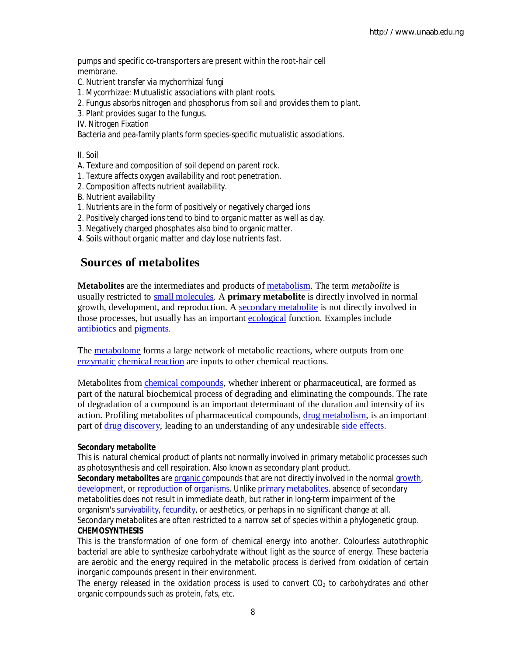pumps and specific co-transporters are present within the root-hair cell membrane.

- C. Nutrient transfer via mychorrhizal fungi
- 1. *Mycorrhizae*: *Mutualistic* associations with plant roots.
- 2. Fungus absorbs nitrogen and phosphorus from soil and provides them to plant.
- 3. Plant provides sugar to the fungus.
- IV. Nitrogen Fixation

Bacteria and pea-family plants form species-specific mutualistic associations.

II. Soil

- A. Texture and composition of soil depend on parent rock.
- 1. Texture affects oxygen availability and root penetration.
- 2. Composition affects nutrient availability.
- B. Nutrient availability
- 1. Nutrients are in the form of positively or negatively charged ions
- 2. Positively charged ions tend to bind to organic matter as well as clay.
- 3. Negatively charged phosphates also bind to organic matter.
- 4. Soils without organic matter and clay lose nutrients fast.

### **Sources of metabolites**

**Metabolites** are the intermediates and products of metabolism. The term *metabolite* is usually restricted to small molecules. A **primary metabolite** is directly involved in normal growth, development, and reproduction. A secondary metabolite is not directly involved in those processes, but usually has an important ecological function. Examples include antibiotics and pigments.

The **metabolome** forms a large network of metabolic reactions, where outputs from one enzymatic chemical reaction are inputs to other chemical reactions.

Metabolites from chemical compounds, whether inherent or pharmaceutical, are formed as part of the natural biochemical process of degrading and eliminating the compounds. The rate of degradation of a compound is an important determinant of the duration and intensity of its action. Profiling metabolites of pharmaceutical compounds, drug metabolism, is an important part of drug discovery, leading to an understanding of any undesirable side effects.

#### **Secondary metabolite**

This is natural chemical product of plants not normally involved in primary metabolic processes such as photosynthesis and cell respiration. Also known as secondary plant product.

Secondary metabolites are **organic compounds that are not directly involved in the normal growth**, development, or reproduction of organisms. Unlike primary metabolites, absence of secondary metabolities does not result in immediate death, but rather in long-term impairment of the organism's survivability, fecundity, or aesthetics, or perhaps in no significant change at all. Secondary metabolites are often restricted to a narrow set of species within a phylogenetic group.

#### **CHEMOSYNTHESIS**

This is the transformation of one form of chemical energy into another. Colourless autothrophic bacterial are able to synthesize carbohydrate without light as the source of energy. These bacteria are aerobic and the energy required in the metabolic process is derived from oxidation of certain inorganic compounds present in their environment.

The energy released in the oxidation process is used to convert  $CO<sub>2</sub>$  to carbohydrates and other organic compounds such as protein, fats, etc.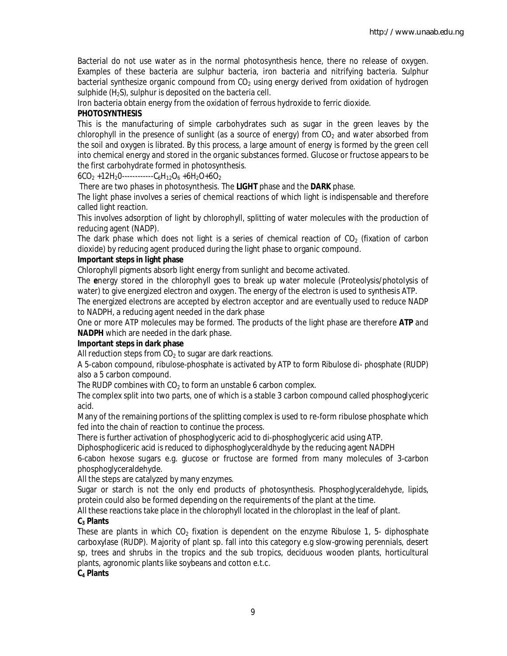Bacterial do not use water as in the normal photosynthesis hence, there no release of oxygen. Examples of these bacteria are sulphur bacteria, iron bacteria and nitrifying bacteria. Sulphur bacterial synthesize organic compound from  $CO<sub>2</sub>$  using energy derived from oxidation of hydrogen sulphide  $(H_2S)$ , sulphur is deposited on the bacteria cell.

Iron bacteria obtain energy from the oxidation of ferrous hydroxide to ferric dioxide.

#### **PHOTOSYNTHESIS**

This is the manufacturing of simple carbohydrates such as sugar in the green leaves by the chlorophyll in the presence of sunlight (as a source of energy) from  $CO<sub>2</sub>$  and water absorbed from the soil and oxygen is librated. By this process, a large amount of energy is formed by the green cell into chemical energy and stored in the organic substances formed. Glucose or fructose appears to be the first carbohydrate formed in photosynthesis.

 $6CO<sub>2</sub> +12H<sub>2</sub>O$ ------------C<sub>6</sub>H<sub>12</sub>O<sub>6</sub> +6H<sub>2</sub>O+6O<sub>2</sub>

There are two phases in photosynthesis. The **LIGHT** phase and the **DARK** phase.

The light phase involves a series of chemical reactions of which light is indispensable and therefore called light reaction.

This involves adsorption of light by chlorophyll, splitting of water molecules with the production of reducing agent (NADP).

The dark phase which does not light is a series of chemical reaction of  $CO<sub>2</sub>$  (fixation of carbon dioxide) by reducing agent produced during the light phase to organic compound.

#### **Important steps in light phase**

Chlorophyll pigments absorb light energy from sunlight and become activated.

The **e**nergy stored in the chlorophyll goes to break up water molecule (Proteolysis/photolysis of water) to give energized electron and oxygen. The energy of the electron is used to synthesis ATP.

The energized electrons are accepted by electron acceptor and are eventually used to reduce NADP to NADPH, a reducing agent needed in the dark phase

One or more ATP molecules may be formed. The products of the light phase are therefore **ATP** and **NADPH** which are needed in the dark phase.

#### **Important steps in dark phase**

All reduction steps from  $CO<sub>2</sub>$  to sugar are dark reactions.

A 5-cabon compound, ribulose-phosphate is activated by ATP to form Ribulose di- phosphate (RUDP) also a 5 carbon compound.

The RUDP combines with  $CO<sub>2</sub>$  to form an unstable 6 carbon complex.

The complex split into two parts, one of which is a stable 3 carbon compound called phosphoglyceric acid.

Many of the remaining portions of the splitting complex is used to re-form ribulose phosphate which fed into the chain of reaction to continue the process.

There is further activation of phosphoglyceric acid to di-phosphoglyceric acid using ATP.

Diphosphogliceric acid is reduced to diphosphoglyceraldhyde by the reducing agent NADPH

6-cabon hexose sugars e.g. glucose or fructose are formed from many molecules of 3-carbon phosphoglyceraldehyde.

All the steps are catalyzed by many enzymes.

Sugar or starch is not the only end products of photosynthesis. Phosphoglyceraldehyde, lipids, protein could also be formed depending on the requirements of the plant at the time.

All these reactions take place in the chlorophyll located in the chloroplast in the leaf of plant.

#### **C<sup>3</sup> Plants**

These are plants in which  $CO<sub>2</sub>$  fixation is dependent on the enzyme Ribulose 1, 5- diphosphate carboxylase (RUDP). Majority of plant sp. fall into this category e.g slow-growing perennials, desert sp, trees and shrubs in the tropics and the sub tropics, deciduous wooden plants, horticultural plants, agronomic plants like soybeans and cotton e.t.c.

#### **C<sup>4</sup> Plants**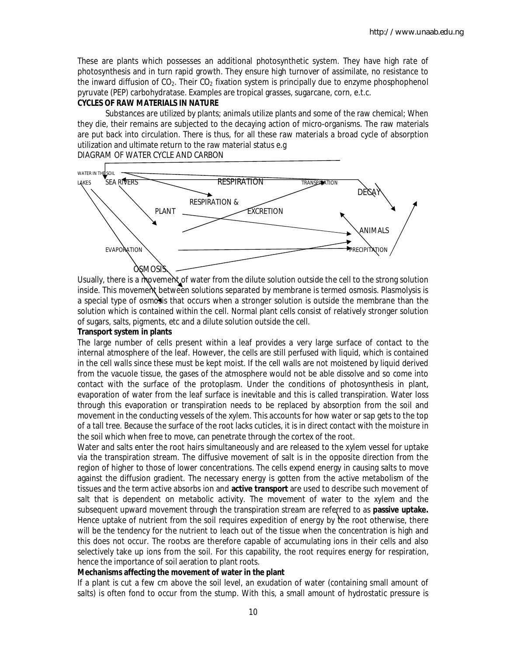These are plants which possesses an additional photosynthetic system. They have high rate of photosynthesis and in turn rapid growth. They ensure high turnover of assimilate, no resistance to the inward diffusion of  $CO<sub>2</sub>$ . Their  $CO<sub>2</sub>$  fixation system is principally due to enzyme phosphophenol pyruvate (PEP) carbohydratase. Examples are tropical grasses, sugarcane, corn, e.t.c.

#### **CYCLES OF RAW MATERIALS IN NATURE**

Substances are utilized by plants; animals utilize plants and some of the raw chemical; When they die, their remains are subjected to the decaying action of micro-organisms. The raw materials are put back into circulation. There is thus, for all these raw materials a broad cycle of absorption utilization and ultimate return to the raw material status e.g

#### DIAGRAM OF WATER CYCLE AND CARBON



Usually, there is a movement of water from the dilute solution outside the cell to the strong solution inside. This movement between solutions separated by membrane is termed osmosis. Plasmolysis is a special type of osmosis that occurs when a stronger solution is outside the membrane than the solution which is contained within the cell. Normal plant cells consist of relatively stronger solution of sugars, salts, pigments, etc and a dilute solution outside the cell.

#### **Transport system in plants**

The large number of cells present within a leaf provides a very large surface of contact to the internal atmosphere of the leaf. However, the cells are still perfused with liquid, which is contained in the cell walls since these must be kept moist. If the cell walls are not moistened by liquid derived from the vacuole tissue, the gases of the atmosphere would not be able dissolve and so come into contact with the surface of the protoplasm. Under the conditions of photosynthesis in plant, evaporation of water from the leaf surface is inevitable and this is called transpiration. Water loss through this evaporation or transpiration needs to be replaced by absorption from the soil and movement in the conducting vessels of the xylem. This accounts for how water or sap gets to the top of a tall tree. Because the surface of the root lacks cuticles, it is in direct contact with the moisture in the soil which when free to move, can penetrate through the cortex of the root.

Water and salts enter the root hairs simultaneously and are released to the xylem vessel for uptake via the transpiration stream. The diffusive movement of salt is in the opposite direction from the region of higher to those of lower concentrations. The cells expend energy in causing salts to move against the diffusion gradient. The necessary energy is gotten from the active metabolism of the tissues and the term active absorbs ion and **active transport** are used to describe such movement of salt that is dependent on metabolic activity. The movement of water to the xylem and the subsequent upward movement through the transpiration stream are referred to as **passive uptake.** Hence uptake of nutrient from the soil requires expedition of energy by the root otherwise, there will be the tendency for the nutrient to leach out of the tissue when the concentration is high and this does not occur. The rootxs are therefore capable of accumulating ions in their cells and also selectively take up ions from the soil. For this capability, the root requires energy for respiration, hence the importance of soil aeration to plant roots.

#### **Mechanisms affecting the movement of water in the plant**

If a plant is cut a few cm above the soil level, an exudation of water (containing small amount of salts) is often fond to occur from the stump. With this, a small amount of hydrostatic pressure is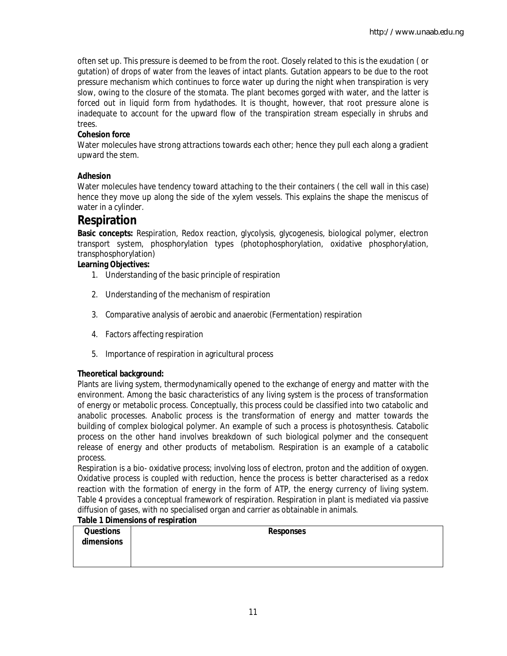often set up. This pressure is deemed to be from the root. Closely related to this is the exudation ( or gutation) of drops of water from the leaves of intact plants. Gutation appears to be due to the root pressure mechanism which continues to force water up during the night when transpiration is very slow, owing to the closure of the stomata. The plant becomes gorged with water, and the latter is forced out in liquid form from hydathodes. It is thought, however, that root pressure alone is inadequate to account for the upward flow of the transpiration stream especially in shrubs and trees.

#### **Cohesion force**

Water molecules have strong attractions towards each other; hence they pull each along a gradient upward the stem.

#### **Adhesion**

Water molecules have tendency toward attaching to the their containers ( the cell wall in this case) hence they move up along the side of the xylem vessels. This explains the shape the meniscus of water in a cylinder.

### **Respiration**

**Basic concepts:** Respiration, Redox reaction, glycolysis, glycogenesis, biological polymer, electron transport system, phosphorylation types (photophosphorylation, oxidative phosphorylation, transphosphorylation)

#### **Learning Objectives:**

- 1. Understanding of the basic principle of respiration
- 2. Understanding of the mechanism of respiration
- 3. Comparative analysis of aerobic and anaerobic (Fermentation) respiration
- 4. Factors affecting respiration
- 5. Importance of respiration in agricultural process

#### **Theoretical background:**

Plants are living system, thermodynamically opened to the exchange of energy and matter with the environment. Among the basic characteristics of any living system is the process of transformation of energy or metabolic process. Conceptually, this process could be classified into two catabolic and anabolic processes. Anabolic process is the transformation of energy and matter towards the building of complex biological polymer. An example of such a process is photosynthesis. Catabolic process on the other hand involves breakdown of such biological polymer and the consequent release of energy and other products of metabolism. Respiration is an example of a catabolic process.

Respiration is a bio- oxidative process; involving loss of electron, proton and the addition of oxygen. Oxidative process is coupled with reduction, hence the process is better characterised as a redox reaction with the formation of energy in the form of ATP, the energy currency of living system. Table 4 provides a conceptual framework of respiration. Respiration in plant is mediated via passive diffusion of gases, with no specialised organ and carrier as obtainable in animals.

#### **Table 1 Dimensions of respiration**

| <b>Questions</b> | <b>Responses</b> |  |
|------------------|------------------|--|
| dimensions       |                  |  |
|                  |                  |  |
|                  |                  |  |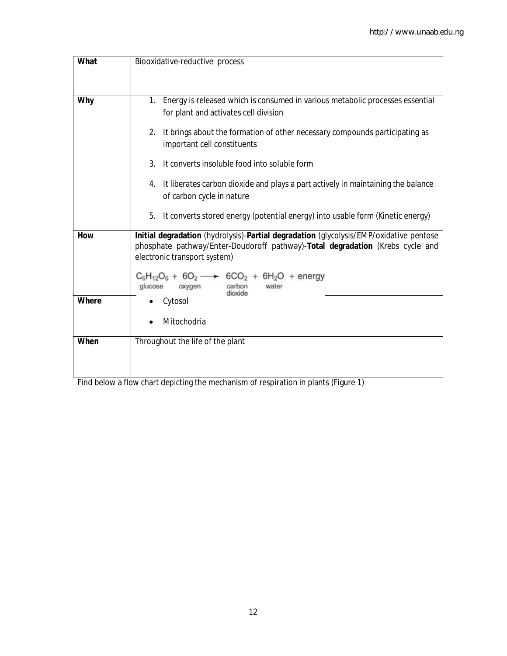| <b>What</b>  | Biooxidative-reductive process                                                                                                                                                                                                                                          |
|--------------|-------------------------------------------------------------------------------------------------------------------------------------------------------------------------------------------------------------------------------------------------------------------------|
|              |                                                                                                                                                                                                                                                                         |
| <b>Why</b>   | Energy is released which is consumed in various metabolic processes essential<br>1.<br>for plant and activates cell division                                                                                                                                            |
|              | It brings about the formation of other necessary compounds participating as<br>$\overline{2}$ .<br>important cell constituents                                                                                                                                          |
|              | 3.<br>It converts insoluble food into soluble form                                                                                                                                                                                                                      |
|              | It liberates carbon dioxide and plays a part actively in maintaining the balance<br>4.<br>of carbon cycle in nature                                                                                                                                                     |
|              | 5.<br>It converts stored energy (potential energy) into usable form (Kinetic energy)                                                                                                                                                                                    |
| <b>How</b>   | Initial degradation (hydrolysis)-Partial degradation (glycolysis/EMP/oxidative pentose<br>phosphate pathway/Enter-Doudoroff pathway)-Total degradation (Krebs cycle and<br>electronic transport system)<br>$C_6H_{12}O_6 + 6O_2 \longrightarrow 6CO_2 + 6H_2O$ + energy |
| <b>Where</b> | glucose<br>oxygen<br>water<br>carbon<br>dioxide<br>Cytosol                                                                                                                                                                                                              |
|              | Mitochodria                                                                                                                                                                                                                                                             |
| When         | Throughout the life of the plant                                                                                                                                                                                                                                        |

Find below a flow chart depicting the mechanism of respiration in plants (Figure 1)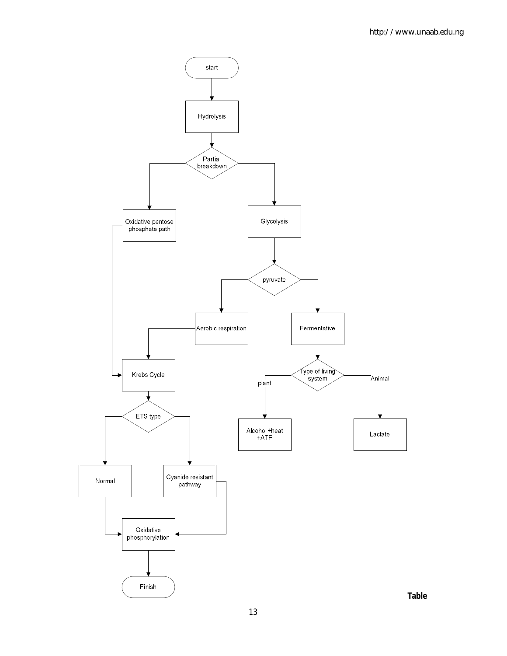

**Table**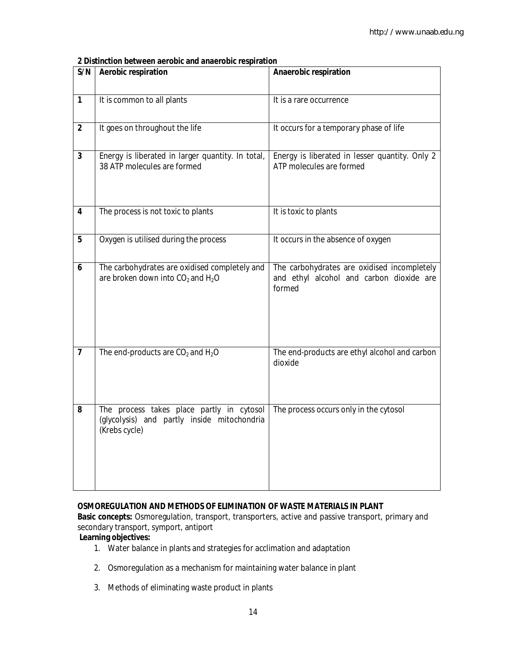**2 Distinction between aerobic and anaerobic respiration**

| S/N                     | <b>Aerobic respiration</b>                                                                                 | Anaerobic respiration                                                                             |
|-------------------------|------------------------------------------------------------------------------------------------------------|---------------------------------------------------------------------------------------------------|
| $\mathbf{1}$            | It is common to all plants                                                                                 | It is a rare occurrence                                                                           |
| $\overline{2}$          | It goes on throughout the life                                                                             | It occurs for a temporary phase of life                                                           |
| $\overline{\mathbf{3}}$ | Energy is liberated in larger quantity. In total,<br>38 ATP molecules are formed                           | Energy is liberated in lesser quantity. Only 2<br>ATP molecules are formed                        |
| $\overline{\mathbf{4}}$ | The process is not toxic to plants                                                                         | It is toxic to plants                                                                             |
| 5                       | Oxygen is utilised during the process                                                                      | It occurs in the absence of oxygen                                                                |
| 6                       | The carbohydrates are oxidised completely and<br>are broken down into CO <sub>2</sub> and H <sub>2</sub> O | The carbohydrates are oxidised incompletely<br>and ethyl alcohol and carbon dioxide are<br>formed |
| $\overline{7}$          | The end-products are $CO2$ and $H2O$                                                                       | The end-products are ethyl alcohol and carbon<br>dioxide                                          |
| 8                       | The process takes place partly in cytosol<br>(glycolysis) and partly inside mitochondria<br>(Krebs cycle)  | The process occurs only in the cytosol                                                            |

#### **OSMOREGULATION AND METHODS OF ELIMINATION OF WASTE MATERIALS IN PLANT**

**Basic concepts:** Osmoregulation, transport, transporters, active and passive transport, primary and secondary transport, symport, antiport

#### **Learning objectives:**

- 1. Water balance in plants and strategies for acclimation and adaptation
- 2. Osmoregulation as a mechanism for maintaining water balance in plant
- 3. Methods of eliminating waste product in plants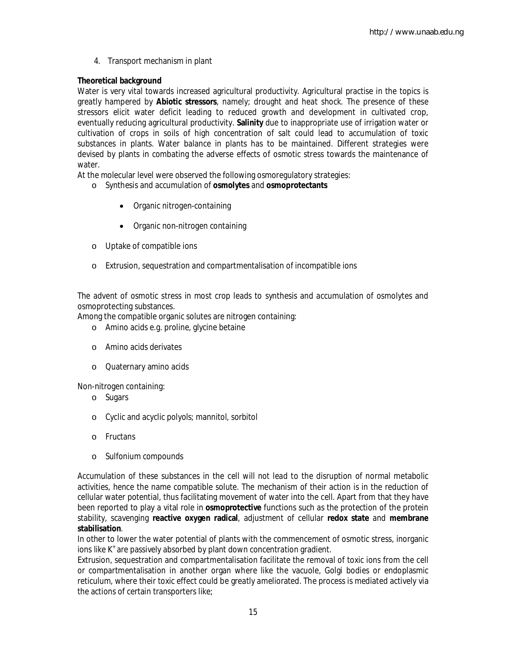4. Transport mechanism in plant

#### **Theoretical background**

Water is very vital towards increased agricultural productivity. Agricultural practise in the topics is greatly hampered by **Abiotic stressors**, namely; drought and heat shock. The presence of these stressors elicit water deficit leading to reduced growth and development in cultivated crop, eventually reducing agricultural productivity. **Salinity** due to inappropriate use of irrigation water or cultivation of crops in soils of high concentration of salt could lead to accumulation of toxic substances in plants. Water balance in plants has to be maintained. Different strategies were devised by plants in combating the adverse effects of osmotic stress towards the maintenance of water.

At the molecular level were observed the following osmoregulatory strategies:

- o Synthesis and accumulation of **osmolytes** and **osmoprotectants**
	- Organic nitrogen-containing
	- Organic non-nitrogen containing
- o Uptake of compatible ions
- o Extrusion, sequestration and compartmentalisation of incompatible ions

The advent of osmotic stress in most crop leads to synthesis and accumulation of osmolytes and osmoprotecting substances.

Among the compatible organic solutes are nitrogen containing:

- o Amino acids e.g. proline, glycine betaine
- o Amino acids derivates
- o Quaternary amino acids

Non-nitrogen containing:

- o Sugars
- o Cyclic and acyclic polyols; mannitol, sorbitol
- o Fructans
- o Sulfonium compounds

Accumulation of these substances in the cell *will not lead* to the disruption of normal metabolic activities, hence the name compatible solute. The mechanism of their action is in the reduction of cellular water potential, thus facilitating movement of water into the cell. Apart from that they have been reported to play a vital role in **osmoprotective** functions such as the protection of the protein stability, scavenging **reactive oxygen radical**, adjustment of cellular **redox state** and **membrane stabilisation**.

In other to lower the water potential of plants with the commencement of osmotic stress, inorganic ions like K<sup>+</sup> are passively absorbed by plant down concentration gradient.

Extrusion, sequestration and compartmentalisation facilitate the removal of toxic ions from the cell or compartmentalisation in another organ where like the vacuole, Golgi bodies or endoplasmic reticulum, where their toxic effect could be greatly ameliorated. The process is mediated actively via the actions of certain transporters like;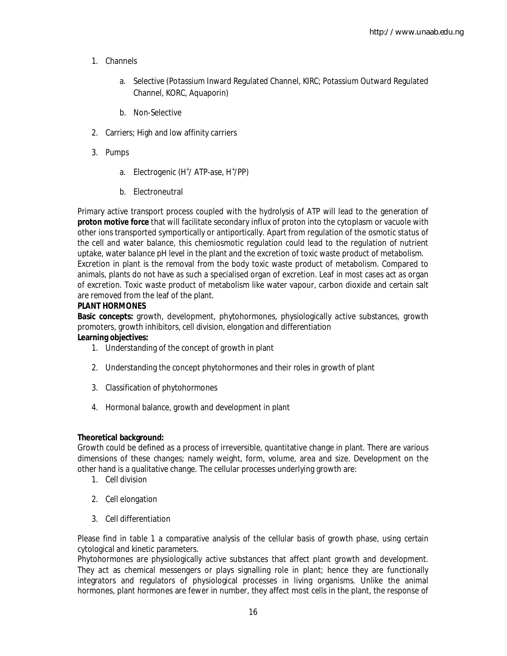- 1. Channels
	- a. Selective (Potassium Inward Regulated Channel, KIRC; Potassium Outward Regulated Channel, KORC, Aquaporin)
	- b. Non-Selective
- 2. Carriers; High and low affinity carriers
- 3. Pumps
	- a. Electrogenic (H<sup>+</sup>/ ATP-ase, H<sup>+</sup>/PP)
	- b. Electroneutral

Primary active transport process coupled with the hydrolysis of ATP will lead to the generation of **proton motive force** that will facilitate secondary influx of proton into the cytoplasm or vacuole with other ions transported symportically or antiportically. Apart from regulation of the osmotic status of the cell and water balance, this chemiosmotic regulation could lead to the regulation of nutrient uptake, water balance pH level in the plant and the excretion of toxic waste product of metabolism. Excretion in plant is the removal from the body toxic waste product of metabolism. Compared to animals, plants do not have as such a specialised organ of excretion. Leaf in most cases act as organ of excretion. Toxic waste product of metabolism like water vapour, carbon dioxide and certain salt are removed from the leaf of the plant.

#### **PLANT HORMONES**

**Basic concepts:** growth, development, phytohormones, physiologically active substances, growth promoters, growth inhibitors, cell division, elongation and differentiation

### **Learning objectives:**

- 1. Understanding of the concept of growth in plant
- 2. Understanding the concept phytohormones and their roles in growth of plant
- 3. Classification of phytohormones
- 4. Hormonal balance, growth and development in plant

#### **Theoretical background:**

Growth could be defined as a process of irreversible, quantitative change in plant. There are various dimensions of these changes; namely weight, form, volume, area and size. Development on the other hand is a qualitative change. The cellular processes underlying growth are:

- 1. Cell division
- 2. Cell elongation
- 3. Cell differentiation

Please find in table 1 a comparative analysis of the cellular basis of growth phase, using certain cytological and kinetic parameters.

Phytohormones are physiologically active substances that affect plant growth and development. They act as chemical messengers or plays signalling role in plant; hence they are functionally integrators and regulators of physiological processes in living organisms. Unlike the animal hormones, plant hormones are fewer in number, they affect most cells in the plant, the response of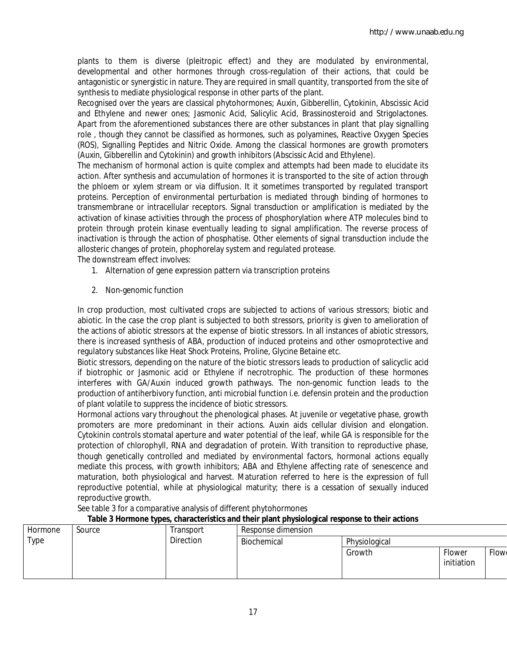http://www.unaab.edu.ng

plants to them is diverse (pleitropic effect) and they are modulated by environmental, developmental and other hormones through cross-regulation of their actions, that could be antagonistic or synergistic in nature. They are required in small quantity, transported from the site of synthesis to mediate physiological response in other parts of the plant.

Recognised over the years are classical phytohormones; Auxin, Gibberellin, Cytokinin, Abscissic Acid and Ethylene and newer ones; Jasmonic Acid, Salicylic Acid, Brassinosteroid and Strigolactones. Apart from the aforementioned substances there are other substances in plant that play signalling role , though they cannot be classified as hormones, such as polyamines, Reactive Oxygen Species (ROS), Signalling Peptides and Nitric Oxide. Among the classical hormones are growth promoters (Auxin, Gibberellin and Cytokinin) and growth inhibitors (Abscissic Acid and Ethylene).

The mechanism of hormonal action is quite complex and attempts had been made to elucidate its action. After synthesis and accumulation of hormones it is transported to the site of action through the phloem or xylem stream or via diffusion. It it sometimes transported by regulated transport proteins. Perception of environmental perturbation is mediated through binding of hormones to transmembrane or intracellular receptors. Signal transduction or amplification is mediated by the activation of kinase activities through the process of phosphorylation where ATP molecules bind to protein through protein kinase eventually leading to signal amplification. The reverse process of inactivation is through the action of phosphatise. Other elements of signal transduction include the allosteric changes of protein, phophorelay system and regulated protease.

The downstream effect involves:

- 1. Alternation of gene expression pattern via transcription proteins
- 2. Non-genomic function

In crop production, most cultivated crops are subjected to actions of various stressors; biotic and abiotic. In the case the crop plant is subjected to both stressors, priority is given to amelioration of the actions of abiotic stressors at the expense of biotic stressors. In all instances of abiotic stressors, there is increased synthesis of ABA, production of induced proteins and other osmoprotective and regulatory substances like Heat Shock Proteins, Proline, Glycine Betaine etc.

Biotic stressors, depending on the nature of the biotic stressors leads to production of salicyclic acid if biotrophic or Jasmonic acid or Ethylene if necrotrophic. The production of these hormones interferes with GA/Auxin induced growth pathways. The non-genomic function leads to the production of antiherbivory function, anti microbial function i.e. defensin protein and the production of plant volatile to suppress the incidence of biotic stressors.

Hormonal actions vary throughout the phenological phases. At juvenile or vegetative phase, growth promoters are more predominant in their actions. Auxin aids cellular division and elongation. Cytokinin controls stomatal aperture and water potential of the leaf, while GA is responsible for the protection of chlorophyll, RNA and degradation of protein. With transition to reproductive phase, though genetically controlled and mediated by environmental factors, hormonal actions equally mediate this process, with growth inhibitors; ABA and Ethylene affecting rate of senescence and maturation, both physiological and harvest. Maturation referred to here is the expression of full reproductive potential, while at physiological maturity; there is a cessation of sexually induced reproductive growth.

See table 3 for a comparative analysis of different phytohormones

#### Hormone Type Source Transport **Direction** Response dimension Biochemical Physiological Growth Flower initiation **Flow**

#### **Table 3 Hormone types, characteristics and their plant physiological response to their actions**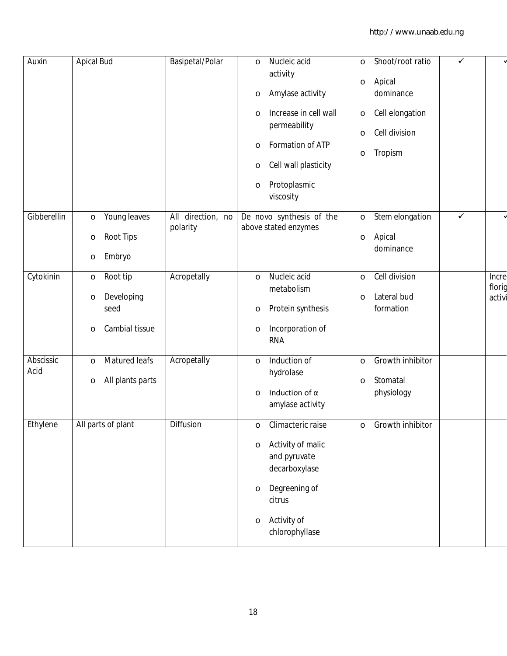| Auxin             | <b>Apical Bud</b>                                                                 | Basipetal/Polar               | Nucleic acid<br>$\circ$<br>activity<br>Amylase activity<br>O<br>Increase in cell wall<br>O<br>permeability<br>Formation of ATP<br>O<br>Cell wall plasticity<br>O<br>Protoplasmic<br>O<br>viscosity | $\circ$<br>$\circ$<br>$\circ$<br>$\circ$<br>$\circ$ | Shoot/root ratio<br>Apical<br>dominance<br>Cell elongation<br>Cell division<br>Tropism | $\checkmark$ |                           |
|-------------------|-----------------------------------------------------------------------------------|-------------------------------|----------------------------------------------------------------------------------------------------------------------------------------------------------------------------------------------------|-----------------------------------------------------|----------------------------------------------------------------------------------------|--------------|---------------------------|
| Gibberellin       | Young leaves<br>$\circ$<br><b>Root Tips</b><br>$\circ$<br>Embryo<br>$\circ$       | All direction, no<br>polarity | De novo synthesis of the<br>above stated enzymes                                                                                                                                                   | $\circ$<br>$\circ$                                  | Stem elongation<br>Apical<br>dominance                                                 | $\checkmark$ |                           |
| Cytokinin         | Root tip<br>$\circ$<br>Developing<br>$\circ$<br>seed<br>Cambial tissue<br>$\circ$ | Acropetally                   | Nucleic acid<br>$\circ$<br>metabolism<br>Protein synthesis<br>O<br>Incorporation of<br>O<br><b>RNA</b>                                                                                             | $\circ$<br>$\circ$                                  | Cell division<br>Lateral bud<br>formation                                              |              | Incre<br>florig<br>activi |
| Abscissic<br>Acid | Matured leafs<br>$\circ$<br>All plants parts<br>$\circ$                           | Acropetally                   | Induction of<br>$\circ$<br>hydrolase<br>Induction of $\alpha$<br>$\circ$<br>amylase activity                                                                                                       | $\circ$<br>$\circ$                                  | Growth inhibitor<br>Stomatal<br>physiology                                             |              |                           |
| Ethylene          | All parts of plant                                                                | Diffusion                     | Climacteric raise<br>Activity of malic<br>$\circ$<br>and pyruvate<br>decarboxylase<br>Degreening of<br>$\circ$<br>citrus<br>Activity of<br>$\circ$<br>chlorophyllase                               |                                                     | Growth inhibitor                                                                       |              |                           |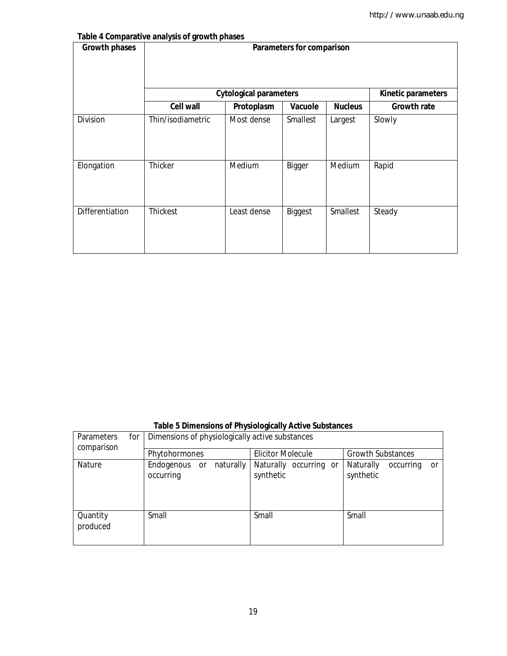#### **Table 4 Comparative analysis of growth phases**

| <b>Growth phases</b> |                   |                               | Parameters for comparison |                 |                    |
|----------------------|-------------------|-------------------------------|---------------------------|-----------------|--------------------|
|                      |                   | <b>Cytological parameters</b> |                           |                 | Kinetic parameters |
|                      | <b>Cell wall</b>  | Protoplasm                    | Vacuole                   | <b>Nucleus</b>  | <b>Growth rate</b> |
| Division             | Thin/isodiametric | Most dense                    | <b>Smallest</b>           | Largest         | Slowly             |
| Elongation           | Thicker           | Medium                        | Bigger                    | Medium          | Rapid              |
| Differentiation      | <b>Thickest</b>   | Least dense                   | Biggest                   | <b>Smallest</b> | Steady             |

|                                        | Table 5 Dimensions of Physiologically Active Substances |                                     |                                                  |
|----------------------------------------|---------------------------------------------------------|-------------------------------------|--------------------------------------------------|
| <b>Parameters</b><br>for<br>comparison | Dimensions of physiologically active substances         |                                     |                                                  |
|                                        | Phytohormones                                           | <b>Elicitor Molecule</b>            | <b>Growth Substances</b>                         |
| Nature                                 | naturally<br>Endogenous or<br>occurring                 | Naturally occurring or<br>synthetic | Naturally<br>occurring<br><b>or</b><br>synthetic |
| Quantity<br>produced                   | Small                                                   | Small                               | Small                                            |

### **Table 5 Dimensions of Physiologically Active Substances**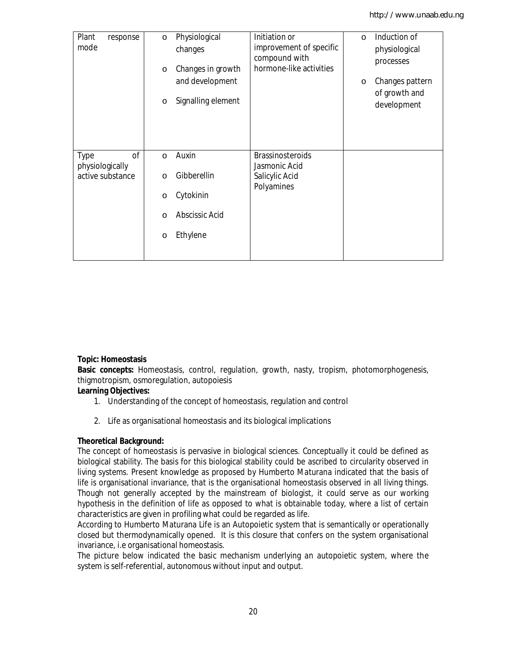| Plant<br>response<br>mode           | Physiological<br>$\circ$<br>changes<br>$\circ$<br>$\circ$ | Initiation or<br>improvement of specific<br>compound with<br>hormone-like activities<br>Changes in growth<br>and development<br>Signalling element | $\Omega$<br>$\circ$ | Induction of<br>physiological<br>processes<br>Changes pattern<br>of growth and<br>development |
|-------------------------------------|-----------------------------------------------------------|----------------------------------------------------------------------------------------------------------------------------------------------------|---------------------|-----------------------------------------------------------------------------------------------|
| 0f<br>Type                          | Auxin<br>$\circ$                                          | <b>Brassinosteroids</b>                                                                                                                            |                     |                                                                                               |
| physiologically<br>active substance | Gibberellin<br>$\circ$                                    | Jasmonic Acid<br>Salicylic Acid                                                                                                                    |                     |                                                                                               |
|                                     | Cytokinin<br>$\circ$                                      | Polyamines                                                                                                                                         |                     |                                                                                               |
|                                     | Abscissic Acid<br>$\Omega$                                |                                                                                                                                                    |                     |                                                                                               |
|                                     | Ethylene<br>$\circ$                                       |                                                                                                                                                    |                     |                                                                                               |
|                                     |                                                           |                                                                                                                                                    |                     |                                                                                               |

#### **Topic: Homeostasis**

**Basic concepts:** Homeostasis, control, regulation, growth, nasty, tropism, photomorphogenesis, thigmotropism, osmoregulation, autopoiesis

#### **Learning Objectives:**

- 1. Understanding of the concept of homeostasis, regulation and control
- 2. Life as organisational homeostasis and its biological implications

#### **Theoretical Background:**

The concept of homeostasis is pervasive in biological sciences. Conceptually it could be defined as biological stability. The basis for this biological stability could be ascribed to circularity observed in living systems. Present knowledge as proposed by Humberto Maturana indicated that the basis of life is organisational invariance, that is the organisational homeostasis observed in all living things. Though not generally accepted by the mainstream of biologist, it could serve as our working hypothesis in the definition of life as opposed to what is obtainable today, where a list of certain characteristics are given in profiling what could be regarded as life.

According to Humberto Maturana Life is an Autopoietic system that is semantically or operationally closed but thermodynamically opened. It is this closure that confers on the system organisational invariance, i.e organisational homeostasis.

The picture below indicated the basic mechanism underlying an autopoietic system, where the system is self-referential, autonomous without input and output.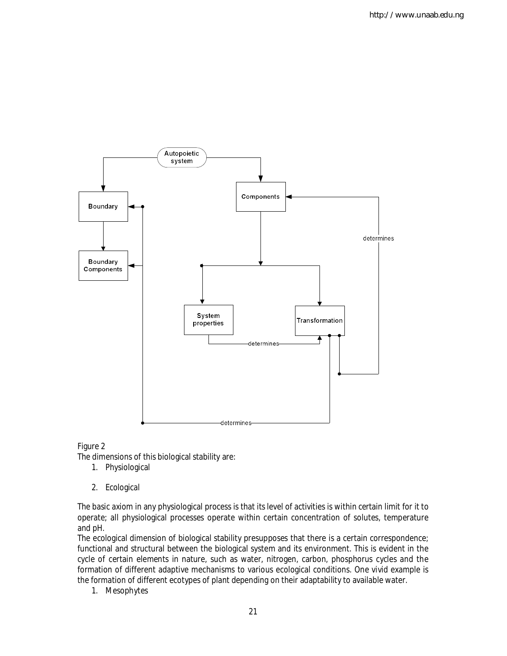

Figure 2

The dimensions of this biological stability are:

- 1. Physiological
- 2. Ecological

The basic axiom in any physiological process is that its level of activities is within certain limit for it to operate; all physiological processes operate within certain concentration of solutes, temperature and pH.

The ecological dimension of biological stability presupposes that there is a certain correspondence; functional and structural between the biological system and its environment. This is evident in the cycle of certain elements in nature, such as water, nitrogen, carbon, phosphorus cycles and the formation of different adaptive mechanisms to various ecological conditions. One vivid example is the formation of different ecotypes of plant depending on their adaptability to available water.

1. Mesophytes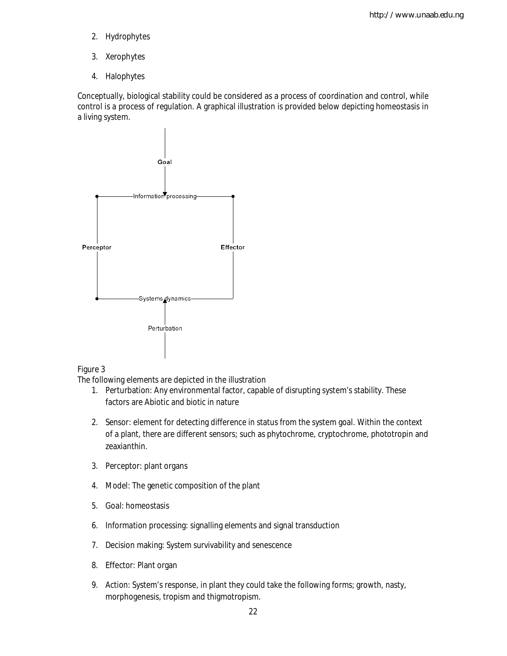- 2. Hydrophytes
- 3. Xerophytes
- 4. Halophytes

Conceptually, biological stability could be considered as a process of coordination and control, while control is a process of regulation. A graphical illustration is provided below depicting homeostasis in a living system.



#### Figure 3

The following elements are depicted in the illustration

- 1. Perturbation: Any environmental factor, capable of disrupting system's stability. These factors are Abiotic and biotic in nature
- 2. Sensor: element for detecting difference in status from the system goal. Within the context of a plant, there are different sensors; such as phytochrome, cryptochrome, phototropin and zeaxianthin.
- 3. Perceptor: plant organs
- 4. Model: The genetic composition of the plant
- 5. Goal: homeostasis
- 6. Information processing: signalling elements and signal transduction
- 7. Decision making: System survivability and senescence
- 8. Effector: Plant organ
- 9. Action: System's response, in plant they could take the following forms; growth, nasty, morphogenesis, tropism and thigmotropism.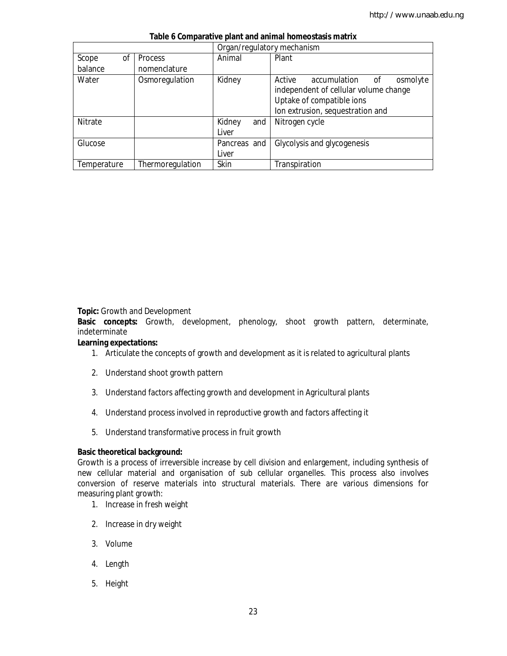|             |                  | Organ/regulatory mechanism |                                          |
|-------------|------------------|----------------------------|------------------------------------------|
| Scope<br>0f | <b>Process</b>   | Animal                     | Plant                                    |
| balance     | nomenclature     |                            |                                          |
| Water       | Osmoregulation   | Kidney                     | Active<br>accumulation<br>osmolyte<br>οf |
|             |                  |                            | independent of cellular volume change    |
|             |                  |                            | Uptake of compatible ions                |
|             |                  |                            | Ion extrusion, sequestration and         |
| Nitrate     |                  | Kidney<br>and              | Nitrogen cycle                           |
|             |                  | Liver                      |                                          |
| Glucose     |                  | Pancreas and               | Glycolysis and glycogenesis              |
|             |                  | Liver                      |                                          |
| Temperature | Thermoregulation | Skin                       | Transpiration                            |

#### **Table 6 Comparative plant and animal homeostasis matrix**

**Topic:** Growth and Development

**Basic concepts:** Growth, development, phenology, shoot growth pattern, determinate, indeterminate

#### **Learning expectations:**

- 1. Articulate the concepts of growth and development as it is related to agricultural plants
- 2. Understand shoot growth pattern
- 3. Understand factors affecting growth and development in Agricultural plants
- 4. Understand process involved in reproductive growth and factors affecting it
- 5. Understand transformative process in fruit growth

#### **Basic theoretical background:**

Growth is a process of irreversible increase by cell division and enlargement, including synthesis of new cellular material and organisation of sub cellular organelles. This process also involves conversion of reserve materials into structural materials. There are various dimensions for measuring plant growth:

- 1. Increase in fresh weight
- 2. Increase in dry weight
- 3. Volume
- 4. Length
- 5. Height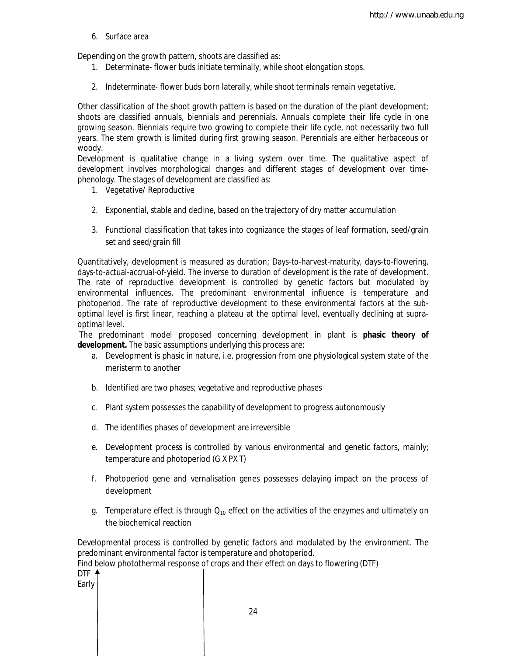6. Surface area

Depending on the growth pattern, shoots are classified as:

- 1. Determinate- flower buds initiate terminally, while shoot elongation stops.
- 2. Indeterminate- flower buds born laterally, while shoot terminals remain vegetative.

Other classification of the shoot growth pattern is based on the duration of the plant development; shoots are classified annuals, biennials and perennials. Annuals complete their life cycle in one growing season. Biennials require two growing to complete their life cycle, not necessarily two full years. The stem growth is limited during first growing season. Perennials are either herbaceous or woody.

Development is qualitative change in a living system over time. The qualitative aspect of development involves morphological changes and different stages of development over timephenology. The stages of development are classified as:

- 1. Vegetative/ Reproductive
- 2. Exponential, stable and decline, based on the trajectory of dry matter accumulation
- 3. Functional classification that takes into cognizance the stages of leaf formation, seed/grain set and seed/grain fill

Quantitatively, development is measured as duration; Days-to-harvest-maturity, days-to-flowering, days-to-actual-accrual-of-yield. The inverse to duration of development is the rate of development. The rate of reproductive development is controlled by genetic factors but modulated by environmental influences. The predominant environmental influence is temperature and photoperiod. The rate of reproductive development to these environmental factors at the suboptimal level is first linear, reaching a plateau at the optimal level, eventually declining at supraoptimal level.

The predominant model proposed concerning development in plant is **phasic theory of development.** The basic assumptions underlying this process are:

- a. Development is phasic in nature, i.e. progression from one physiological system state of the meristerm to another
- b. Identified are two phases; vegetative and reproductive phases
- c. Plant system possesses the capability of development to progress autonomously
- d. The identifies phases of development are irreversible
- e. Development process is controlled by various environmental and genetic factors, mainly; temperature and photoperiod (G X PX T)
- f. Photoperiod gene and vernalisation genes possesses delaying impact on the process of development
- g. Temperature effect is through  $Q_{10}$  effect on the activities of the enzymes and ultimately on the biochemical reaction

Developmental process is controlled by genetic factors and modulated by the environment. The predominant environmental factor is temperature and photoperiod.

Find below photothermal response of crops and their effect on days to flowering (DTF)

DTF 4 Early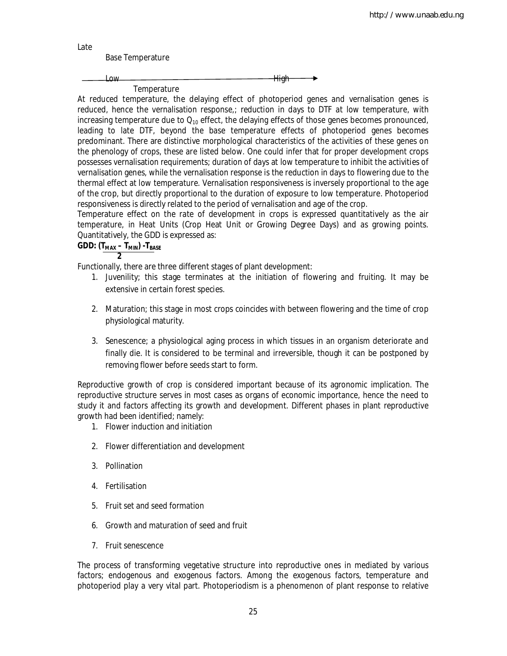Late

Base Temperature

Low High

**Temperature** 

At reduced temperature, the delaying effect of photoperiod genes and vernalisation genes is reduced, hence the vernalisation response,; reduction in days to DTF at low temperature, with increasing temperature due to  $Q_{10}$  effect, the delaying effects of those genes becomes pronounced, leading to late DTF, beyond the base temperature effects of photoperiod genes becomes predominant. There are distinctive morphological characteristics of the activities of these genes on the phenology of crops, these are listed below. One could infer that for proper development crops possesses vernalisation requirements; duration of days at low temperature to inhibit the activities of vernalisation genes, while the vernalisation response is the reduction in days to flowering due to the thermal effect at low temperature. Vernalisation responsiveness is inversely proportional to the age of the crop, but directly proportional to the duration of exposure to low temperature. Photoperiod responsiveness is directly related to the period of vernalisation and age of the crop.

Temperature effect on the rate of development in crops is expressed quantitatively as the air temperature, in Heat Units (Crop Heat Unit or Growing Degree Days) and as growing points. Quantitatively, the GDD is expressed as:

#### **GDD: (TMAX – TMIN) -TBASE 2**

Functionally, there are three different stages of plant development:

- 1. Juvenility; this stage terminates at the initiation of flowering and fruiting. It may be extensive in certain forest species.
- 2. Maturation; this stage in most crops coincides with between flowering and the time of crop physiological maturity.
- 3. Senescence; a physiological aging process in which tissues in an organism deteriorate and finally die. It is considered to be terminal and irreversible, though it can be postponed by removing flower before seeds start to form.

Reproductive growth of crop is considered important because of its agronomic implication. The reproductive structure serves in most cases as organs of economic importance, hence the need to study it and factors affecting its growth and development. Different phases in plant reproductive growth had been identified; namely:

- 1. Flower induction and initiation
- 2. Flower differentiation and development
- 3. Pollination
- 4. Fertilisation
- 5. Fruit set and seed formation
- 6. Growth and maturation of seed and fruit
- 7. Fruit senescence

The process of transforming vegetative structure into reproductive ones in mediated by various factors; endogenous and exogenous factors. Among the exogenous factors, temperature and photoperiod play a very vital part. Photoperiodism is a phenomenon of plant response to relative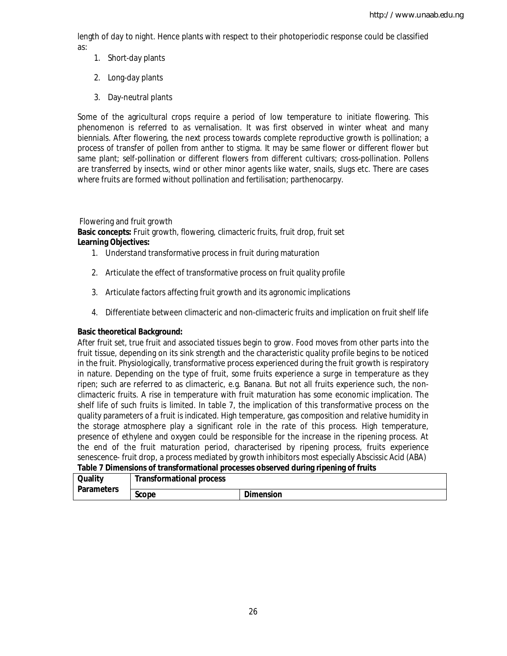length of day to night. Hence plants with respect to their photoperiodic response could be classified as:

- 1. Short-day plants
- 2. Long-day plants
- 3. Day-neutral plants

Some of the agricultural crops require a period of low temperature to initiate flowering. This phenomenon is referred to as vernalisation. It was first observed in winter wheat and many biennials. After flowering, the next process towards complete reproductive growth is pollination; a process of transfer of pollen from anther to stigma. It may be same flower or different flower but same plant; self-pollination or different flowers from different cultivars; cross-pollination. Pollens are transferred by insects, wind or other minor agents like water, snails, slugs etc. There are cases where fruits are formed without pollination and fertilisation; parthenocarpy.

#### Flowering and fruit growth

**Basic concepts:** Fruit growth, flowering, climacteric fruits, fruit drop, fruit set **Learning Objectives:**

- 1. Understand transformative process in fruit during maturation
- 2. Articulate the effect of transformative process on fruit quality profile
- 3. Articulate factors affecting fruit growth and its agronomic implications
- 4. Differentiate between climacteric and non-climacteric fruits and implication on fruit shelf life

#### **Basic theoretical Background:**

After fruit set, true fruit and associated tissues begin to grow. Food moves from other parts into the fruit tissue, depending on its sink strength and the characteristic quality profile begins to be noticed in the fruit. Physiologically, transformative process experienced during the fruit growth is respiratory in nature. Depending on the type of fruit, some fruits experience a surge in temperature as they ripen; such are referred to as climacteric, e.g. Banana. But not all fruits experience such, the nonclimacteric fruits. A rise in temperature with fruit maturation has some economic implication. The shelf life of such fruits is limited. In table 7, the implication of this transformative process on the quality parameters of a fruit is indicated. High temperature, gas composition and relative humidity in the storage atmosphere play a significant role in the rate of this process. High temperature, presence of ethylene and oxygen could be responsible for the increase in the ripening process. At the end of the fruit maturation period, characterised by ripening process, fruits experience senescence- fruit drop, a process mediated by growth inhibitors most especially Abscissic Acid (ABA)

#### **Table 7 Dimensions of transformational processes observed during ripening of fruits**

| <b>Quality</b>    | <b>Transformational process</b> |                  |
|-------------------|---------------------------------|------------------|
| <b>Parameters</b> | <b>Scope</b>                    | <b>Dimension</b> |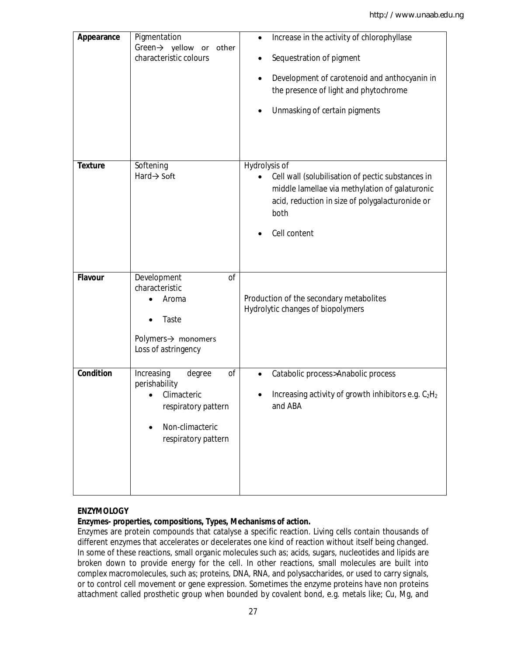| Appearance     | Pigmentation<br>Green→ yellow or<br>other<br>characteristic colours                                                                      | Increase in the activity of chlorophyllase<br>$\bullet$<br>Sequestration of pigment<br>Development of carotenoid and anthocyanin in<br>the presence of light and phytochrome<br>Unmasking of certain pigments<br>$\bullet$ |
|----------------|------------------------------------------------------------------------------------------------------------------------------------------|----------------------------------------------------------------------------------------------------------------------------------------------------------------------------------------------------------------------------|
| <b>Texture</b> | Softening<br>$Hard \rightarrow Soft$                                                                                                     | Hydrolysis of<br>Cell wall (solubilisation of pectic substances in<br>middle lamellae via methylation of galaturonic<br>acid, reduction in size of polygalacturonide or<br>both<br>Cell content                            |
| <b>Flavour</b> | Development<br><sub>of</sub><br>characteristic<br>Aroma<br>Taste<br>Polymers $\rightarrow$ monomers<br>Loss of astringency               | Production of the secondary metabolites<br>Hydrolytic changes of biopolymers                                                                                                                                               |
| Condition      | Increasing<br>of<br>degree<br>perishability<br>Climacteric<br>respiratory pattern<br>Non-climacteric<br>$\bullet$<br>respiratory pattern | Catabolic process>Anabolic process<br>$\bullet$<br>Increasing activity of growth inhibitors e.g. C <sub>2</sub> H <sub>2</sub><br>and ABA                                                                                  |

#### **ENZYMOLOGY**

#### **Enzymes- properties, compositions, Types, Mechanisms of action.**

Enzymes are protein compounds that catalyse a specific reaction. Living cells contain thousands of different enzymes that accelerates or decelerates one kind of reaction without itself being changed. In some of these reactions, small organic molecules such as; acids, sugars, nucleotides and lipids are broken down to provide energy for the cell. In other reactions, small molecules are built into complex macromolecules, such as; proteins, DNA, RNA, and polysaccharides, or used to carry signals, or to control cell movement or gene expression. Sometimes the enzyme proteins have non proteins attachment called prosthetic group when bounded by covalent bond, e.g. metals like; Cu, Mg, and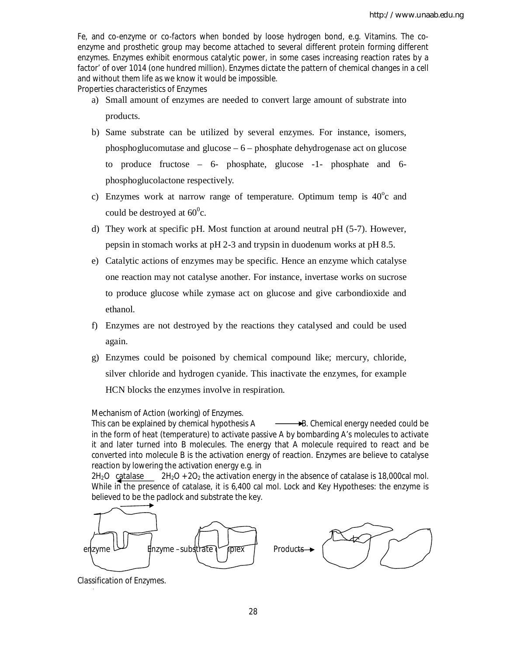Fe, and co-enzyme or co-factors when bonded by loose hydrogen bond, e.g. Vitamins. The coenzyme and prosthetic group may become attached to several different protein forming different enzymes. Enzymes exhibit enormous catalytic power, in some cases increasing reaction rates by a factor' of over 1014 (one hundred million). Enzymes dictate the pattern of chemical changes in a cell and without them life as we know it would be impossible.

Properties characteristics of Enzymes

- a) Small amount of enzymes are needed to convert large amount of substrate into products.
- b) Same substrate can be utilized by several enzymes. For instance, isomers, phosphoglucomutase and glucose – 6 – phosphate dehydrogenase act on glucose to produce fructose – 6- phosphate, glucose -1- phosphate and 6 phosphoglucolactone respectively.
- c) Enzymes work at narrow range of temperature. Optimum temp is  $40^{\circ}c$  and could be destroyed at  $60^{\circ}$ c.
- d) They work at specific pH. Most function at around neutral pH (5-7). However, pepsin in stomach works at pH 2-3 and trypsin in duodenum works at pH 8.5.
- e) Catalytic actions of enzymes may be specific. Hence an enzyme which catalyse one reaction may not catalyse another. For instance, invertase works on sucrose to produce glucose while zymase act on glucose and give carbondioxide and ethanol.
- f) Enzymes are not destroyed by the reactions they catalysed and could be used again.
- g) Enzymes could be poisoned by chemical compound like; mercury, chloride, silver chloride and hydrogen cyanide. This inactivate the enzymes, for example HCN blocks the enzymes involve in respiration.

Mechanism of Action (working) of Enzymes.

This can be explained by chemical hypothesis  $A \longrightarrow B$ . Chemical energy needed could be in the form of heat (temperature) to activate passive A by bombarding A's molecules to activate it and later turned into B molecules. The energy that A molecule required to react and be converted into molecule B is the activation energy of reaction. Enzymes are believe to catalyse reaction by lowering the activation energy e.g. in

 $2H_2O$  catalase  $2H_2O + 2O_2$  the activation energy in the absence of catalase is 18,000cal mol. While in the presence of catalase, it is 6,400 cal mol. Lock and Key Hypotheses: the enzyme is believed to be the padlock and substrate the key.



Classification of Enzymes.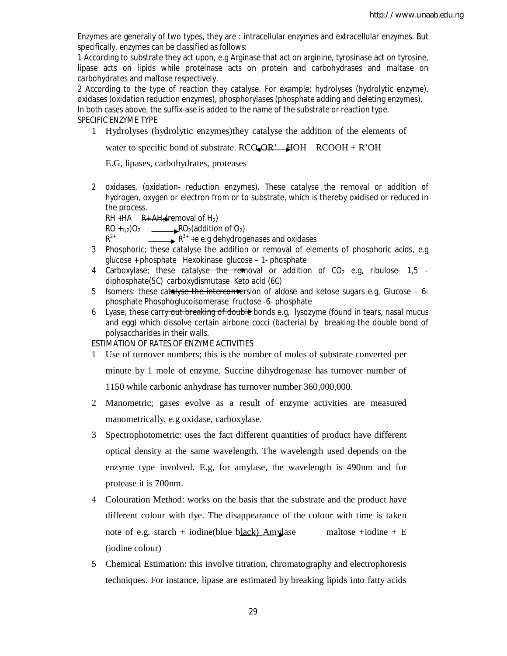Enzymes are generally of two types, they are : intracellular enzymes and extracellular enzymes. But specifically, enzymes can be classified as follows:

1 According to substrate they act upon, e.g Arginase that act on arginine, tyrosinase act on tyrosine, lipase acts on lipids while proteinase acts on protein and carbohydrases and maltase on carbohydrates and maltose respectively.

2 According to the type of reaction they catalyse. For example: hydrolyses (hydrolytic enzyme), oxidases (oxidation reduction enzymes), phosphorylases (phosphate adding and deleting enzymes). In both cases above, the suffix-ase is added to the name of the substrate or reaction type. SPECIFIC ENZYME TYPE

1 Hydrolyses (hydrolytic enzymes)they catalyse the addition of the elements of

water to specific bond of substrate. RCO-OR' HOH RCOOH + R'OH

E.G, lipases, carbohydrates, proteases

2 oxidases, (oxidation- reduction enzymes). These catalyse the removal or addition of hydrogen, oxygen or electron from or to substrate, which is thereby oxidised or reduced in the process.

RH +HA  $R + AH$ <sub>2</sub>(removal of H<sub>2</sub>)

 $R^{2+}$ 

 $RO +_{1\sqrt{2}})O_2$  RO<sub>2</sub>(addition of O<sub>2</sub>)

 $\rightarrow$   $R^{3+}$  +e e.g dehydrogenases and oxidases

- 3 Phosphoric; these catalyse the addition or removal of elements of phosphoric acids, e.g glucose + phosphate Hexokinase glucose – 1- phosphate
- 4 Carboxylase; these catalyse the removal or addition of  $CO<sub>2</sub>$  e.g, ribulose- 1,5 diphosphate(5C) carboxydismutase Keto acid (6C)
- 5 Isomers: these catalyse the interconversion of aldose and ketose sugars e.g, Glucose 6phosphate Phosphoglucoisomerase fructose -6- phosphate
- 6 Lyase; these carry out breaking of double bonds e.g. lysozyme (found in tears, nasal mucus and egg) which dissolve certain airbone cocci (bacteria) by breaking the double bond of polysaccharides in their walls.

ESTIMATION OF RATES OF ENZYME ACTIVITIES

1 Use of turnover numbers; this is the number of moles of substrate converted per

minute by 1 mole of enzyme. Succine dihydrogenase has turnover number of 1150 while carbonic anhydrase has turnover number 360,000,000.

- 2 Manometric; gases evolve as a result of enzyme activities are measured manometrically, e.g oxidase, carboxylase.
- 3 Spectrophotometric: uses the fact different quantities of product have different optical density at the same wavelength. The wavelength used depends on the enzyme type involved. E.g, for amylase, the wavelength is 490nm and for protease it is 700nm.
- 4 Colouration Method: works on the basis that the substrate and the product have different colour with dye. The disappearance of the colour with time is taken note of e.g. starch + iodine(blue black) Amylase maltose +iodine + E (iodine colour)
- 5 Chemical Estimation: this involve titration, chromatography and electrophoresis techniques. For instance, lipase are estimated by breaking lipids into fatty acids